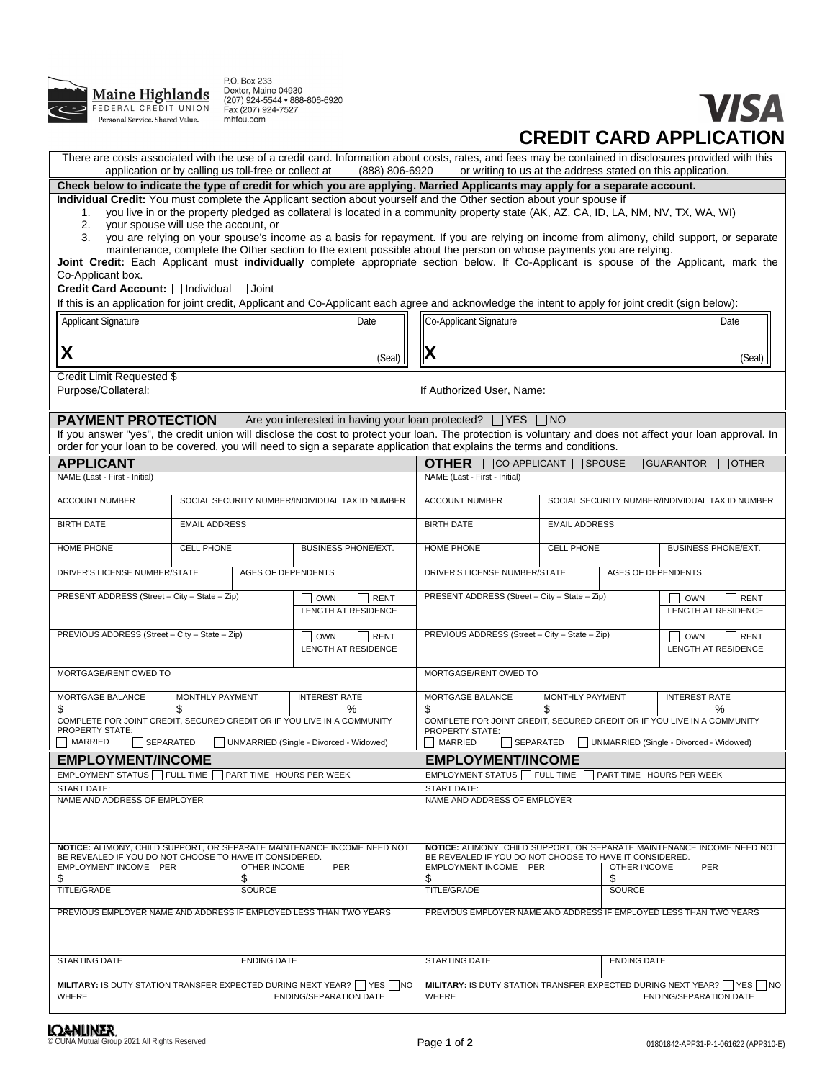

P.O. Box 233<br>Dexter, Maine 04930<br>(207) 924-5544 • 888-806-6920<br>Fax (207) 924-7527<br>mhfcu.com

## **VISA CREDIT CARD APPLICATION**

| There are costs associated with the use of a credit card. Information about costs, rates, and fees may be contained in disclosures provided with this<br>application or by calling us toll-free or collect at<br>(888) 806-6920<br>or writing to us at the address stated on this application. |                                                                                                           |                                                                                                                     |                                                                                                                                                                                                                                                                                                                                                                                                                                                                                                                                                                                                                                                                         |                                                                                                                                    |                            |                                                                                                                            |  |
|------------------------------------------------------------------------------------------------------------------------------------------------------------------------------------------------------------------------------------------------------------------------------------------------|-----------------------------------------------------------------------------------------------------------|---------------------------------------------------------------------------------------------------------------------|-------------------------------------------------------------------------------------------------------------------------------------------------------------------------------------------------------------------------------------------------------------------------------------------------------------------------------------------------------------------------------------------------------------------------------------------------------------------------------------------------------------------------------------------------------------------------------------------------------------------------------------------------------------------------|------------------------------------------------------------------------------------------------------------------------------------|----------------------------|----------------------------------------------------------------------------------------------------------------------------|--|
|                                                                                                                                                                                                                                                                                                |                                                                                                           |                                                                                                                     | Check below to indicate the type of credit for which you are applying. Married Applicants may apply for a separate account.                                                                                                                                                                                                                                                                                                                                                                                                                                                                                                                                             |                                                                                                                                    |                            |                                                                                                                            |  |
| 1.<br>2.<br>3.                                                                                                                                                                                                                                                                                 | your spouse will use the account, or                                                                      |                                                                                                                     | Individual Credit: You must complete the Applicant section about yourself and the Other section about your spouse if<br>you live in or the property pledged as collateral is located in a community property state (AK, AZ, CA, ID, LA, NM, NV, TX, WA, WI)<br>you are relying on your spouse's income as a basis for repayment. If you are relying on income from alimony, child support, or separate<br>maintenance, complete the Other section to the extent possible about the person on whose payments you are relying.<br>Joint Credit: Each Applicant must individually complete appropriate section below. If Co-Applicant is spouse of the Applicant, mark the |                                                                                                                                    |                            |                                                                                                                            |  |
| Co-Applicant box.<br>Credit Card Account: Individual IJ Joint                                                                                                                                                                                                                                  |                                                                                                           |                                                                                                                     |                                                                                                                                                                                                                                                                                                                                                                                                                                                                                                                                                                                                                                                                         |                                                                                                                                    |                            |                                                                                                                            |  |
| If this is an application for joint credit, Applicant and Co-Applicant each agree and acknowledge the intent to apply for joint credit (sign below):<br>Applicant Signature<br>Date                                                                                                            |                                                                                                           |                                                                                                                     | <b>Co-Applicant Signature</b>                                                                                                                                                                                                                                                                                                                                                                                                                                                                                                                                                                                                                                           |                                                                                                                                    |                            | Date                                                                                                                       |  |
| X                                                                                                                                                                                                                                                                                              |                                                                                                           | (Seal)                                                                                                              | Х                                                                                                                                                                                                                                                                                                                                                                                                                                                                                                                                                                                                                                                                       |                                                                                                                                    |                            | (Seal)                                                                                                                     |  |
| Credit Limit Requested \$<br>Purpose/Collateral:                                                                                                                                                                                                                                               |                                                                                                           |                                                                                                                     | If Authorized User, Name:                                                                                                                                                                                                                                                                                                                                                                                                                                                                                                                                                                                                                                               |                                                                                                                                    |                            |                                                                                                                            |  |
| <b>PAYMENT PROTECTION</b>                                                                                                                                                                                                                                                                      |                                                                                                           |                                                                                                                     | Are you interested in having your loan protected? VES NO                                                                                                                                                                                                                                                                                                                                                                                                                                                                                                                                                                                                                |                                                                                                                                    |                            |                                                                                                                            |  |
|                                                                                                                                                                                                                                                                                                |                                                                                                           |                                                                                                                     | If you answer "yes", the credit union will disclose the cost to protect your loan. The protection is voluntary and does not affect your loan approval. In<br>order for your loan to be covered, you will need to sign a separate application that explains the terms and conditions.                                                                                                                                                                                                                                                                                                                                                                                    |                                                                                                                                    |                            |                                                                                                                            |  |
| <b>APPLICANT</b>                                                                                                                                                                                                                                                                               |                                                                                                           |                                                                                                                     | <b>OTHER</b>                                                                                                                                                                                                                                                                                                                                                                                                                                                                                                                                                                                                                                                            | $\Box$ CO-APPLICANT $\Box$ SPOUSE $\Box$ GUARANTOR                                                                                 |                            | $\sqcap$ OTHER                                                                                                             |  |
| NAME (Last - First - Initial)                                                                                                                                                                                                                                                                  |                                                                                                           |                                                                                                                     | NAME (Last - First - Initial)                                                                                                                                                                                                                                                                                                                                                                                                                                                                                                                                                                                                                                           |                                                                                                                                    |                            |                                                                                                                            |  |
| <b>ACCOUNT NUMBER</b>                                                                                                                                                                                                                                                                          |                                                                                                           | SOCIAL SECURITY NUMBER/INDIVIDUAL TAX ID NUMBER                                                                     | <b>ACCOUNT NUMBER</b>                                                                                                                                                                                                                                                                                                                                                                                                                                                                                                                                                                                                                                                   | SOCIAL SECURITY NUMBER/INDIVIDUAL TAX ID NUMBER                                                                                    |                            |                                                                                                                            |  |
| <b>BIRTH DATE</b>                                                                                                                                                                                                                                                                              | <b>EMAIL ADDRESS</b>                                                                                      |                                                                                                                     | <b>BIRTH DATE</b>                                                                                                                                                                                                                                                                                                                                                                                                                                                                                                                                                                                                                                                       |                                                                                                                                    | <b>EMAIL ADDRESS</b>       |                                                                                                                            |  |
| HOME PHONE                                                                                                                                                                                                                                                                                     | <b>CELL PHONE</b>                                                                                         | <b>BUSINESS PHONE/EXT.</b>                                                                                          | HOME PHONE                                                                                                                                                                                                                                                                                                                                                                                                                                                                                                                                                                                                                                                              | <b>CELL PHONE</b>                                                                                                                  | <b>BUSINESS PHONE/EXT.</b> |                                                                                                                            |  |
| DRIVER'S LICENSE NUMBER/STATE                                                                                                                                                                                                                                                                  | <b>AGES OF DEPENDENTS</b>                                                                                 |                                                                                                                     | DRIVER'S LICENSE NUMBER/STATE                                                                                                                                                                                                                                                                                                                                                                                                                                                                                                                                                                                                                                           |                                                                                                                                    | <b>AGES OF DEPENDENTS</b>  |                                                                                                                            |  |
| PRESENT ADDRESS (Street - City - State - Zip)                                                                                                                                                                                                                                                  |                                                                                                           | <b>OWN</b><br><b>RENT</b><br>LENGTH AT RESIDENCE                                                                    | PRESENT ADDRESS (Street - City - State - Zip)                                                                                                                                                                                                                                                                                                                                                                                                                                                                                                                                                                                                                           |                                                                                                                                    |                            | <b>RENT</b><br><b>OWN</b><br>LENGTH AT RESIDENCE                                                                           |  |
|                                                                                                                                                                                                                                                                                                |                                                                                                           |                                                                                                                     | PREVIOUS ADDRESS (Street - City - State - Zip)                                                                                                                                                                                                                                                                                                                                                                                                                                                                                                                                                                                                                          |                                                                                                                                    |                            |                                                                                                                            |  |
|                                                                                                                                                                                                                                                                                                | PREVIOUS ADDRESS (Street - City - State - Zip)<br><b>OWN</b><br><b>RENT</b><br><b>LENGTH AT RESIDENCE</b> |                                                                                                                     |                                                                                                                                                                                                                                                                                                                                                                                                                                                                                                                                                                                                                                                                         |                                                                                                                                    |                            | <b>OWN</b><br><b>RENT</b><br>LENGTH AT RESIDENCE                                                                           |  |
| MORTGAGE/RENT OWED TO                                                                                                                                                                                                                                                                          |                                                                                                           |                                                                                                                     | MORTGAGE/RENT OWED TO                                                                                                                                                                                                                                                                                                                                                                                                                                                                                                                                                                                                                                                   |                                                                                                                                    |                            |                                                                                                                            |  |
| MORTGAGE BALANCE                                                                                                                                                                                                                                                                               | MONTHLY PAYMENT                                                                                           | <b>INTEREST RATE</b>                                                                                                | MORTGAGE BALANCE                                                                                                                                                                                                                                                                                                                                                                                                                                                                                                                                                                                                                                                        | MONTHLY PAYMENT                                                                                                                    |                            | <b>INTEREST RATE</b>                                                                                                       |  |
| \$<br>PROPERTY STATE:                                                                                                                                                                                                                                                                          | COMPLETE FOR JOINT CREDIT, SECURED CREDIT OR IF YOU LIVE IN A COMMUNITY                                   | %                                                                                                                   | \$<br>COMPLETE FOR JOINT CREDIT, SECURED CREDIT OR IF YOU LIVE IN A COMMUNITY<br><b>PROPERTY STATE:</b>                                                                                                                                                                                                                                                                                                                                                                                                                                                                                                                                                                 | \$                                                                                                                                 |                            | ℅                                                                                                                          |  |
| MARRIED<br>SEPARATED<br>UNMARRIED (Single - Divorced - Widowed)                                                                                                                                                                                                                                |                                                                                                           |                                                                                                                     | MARRIED<br>SEPARATED                                                                                                                                                                                                                                                                                                                                                                                                                                                                                                                                                                                                                                                    |                                                                                                                                    |                            | UNMARRIED (Single - Divorced - Widowed)                                                                                    |  |
| <b>EMPLOYMENT/INCOME</b>                                                                                                                                                                                                                                                                       |                                                                                                           | <b>EMPLOYMENT/INCOME</b>                                                                                            |                                                                                                                                                                                                                                                                                                                                                                                                                                                                                                                                                                                                                                                                         |                                                                                                                                    |                            |                                                                                                                            |  |
| EMPLOYMENT STATUS   FULL TIME                                                                                                                                                                                                                                                                  | PART TIME HOURS PER WEEK                                                                                  | EMPLOYMENT STATUS   FULL TIME                                                                                       |                                                                                                                                                                                                                                                                                                                                                                                                                                                                                                                                                                                                                                                                         |                                                                                                                                    | PART TIME HOURS PER WEEK   |                                                                                                                            |  |
| <b>START DATE:</b>                                                                                                                                                                                                                                                                             |                                                                                                           |                                                                                                                     | <b>START DATE:</b>                                                                                                                                                                                                                                                                                                                                                                                                                                                                                                                                                                                                                                                      |                                                                                                                                    |                            |                                                                                                                            |  |
| NAME AND ADDRESS OF EMPLOYER                                                                                                                                                                                                                                                                   |                                                                                                           |                                                                                                                     | NAME AND ADDRESS OF EMPLOYER                                                                                                                                                                                                                                                                                                                                                                                                                                                                                                                                                                                                                                            |                                                                                                                                    |                            |                                                                                                                            |  |
| NOTICE: ALIMONY, CHILD SUPPORT, OR SEPARATE MAINTENANCE INCOME NEED NOT<br>BE REVEALED IF YOU DO NOT CHOOSE TO HAVE IT CONSIDERED.                                                                                                                                                             |                                                                                                           |                                                                                                                     |                                                                                                                                                                                                                                                                                                                                                                                                                                                                                                                                                                                                                                                                         | NOTICE: ALIMONY, CHILD SUPPORT, OR SEPARATE MAINTENANCE INCOME NEED NOT<br>BE REVEALED IF YOU DO NOT CHOOSE TO HAVE IT CONSIDERED. |                            |                                                                                                                            |  |
| <b>EMPLOYMENT INCOME PER</b><br>\$                                                                                                                                                                                                                                                             | OTHER INCOME<br>\$                                                                                        | PER                                                                                                                 | <b>EMPLOYMENT INCOME PER</b><br>\$                                                                                                                                                                                                                                                                                                                                                                                                                                                                                                                                                                                                                                      |                                                                                                                                    | OTHER INCOME<br>\$         | PER                                                                                                                        |  |
| <b>TITLE/GRADE</b>                                                                                                                                                                                                                                                                             | <b>SOURCE</b>                                                                                             |                                                                                                                     | TITLE/GRADE                                                                                                                                                                                                                                                                                                                                                                                                                                                                                                                                                                                                                                                             |                                                                                                                                    | <b>SOURCE</b>              |                                                                                                                            |  |
| PREVIOUS EMPLOYER NAME AND ADDRESS IF EMPLOYED LESS THAN TWO YEARS                                                                                                                                                                                                                             |                                                                                                           |                                                                                                                     | PREVIOUS EMPLOYER NAME AND ADDRESS IF EMPLOYED LESS THAN TWO YEARS                                                                                                                                                                                                                                                                                                                                                                                                                                                                                                                                                                                                      |                                                                                                                                    |                            |                                                                                                                            |  |
| STARTING DATE                                                                                                                                                                                                                                                                                  | <b>ENDING DATE</b>                                                                                        |                                                                                                                     | <b>STARTING DATE</b>                                                                                                                                                                                                                                                                                                                                                                                                                                                                                                                                                                                                                                                    |                                                                                                                                    | <b>ENDING DATE</b>         |                                                                                                                            |  |
| WHERE                                                                                                                                                                                                                                                                                          |                                                                                                           | <b>MILITARY:</b> IS DUTY STATION TRANSFER EXPECTED DURING NEXT YEAR? $\Box$ YES $\Box$ NO<br>ENDING/SEPARATION DATE | WHERE                                                                                                                                                                                                                                                                                                                                                                                                                                                                                                                                                                                                                                                                   |                                                                                                                                    |                            | <b>MILITARY:</b> IS DUTY STATION TRANSFER EXPECTED DURING NEXT YEAR? $\Box$ YES $\Box$ NO<br><b>ENDING/SEPARATION DATE</b> |  |